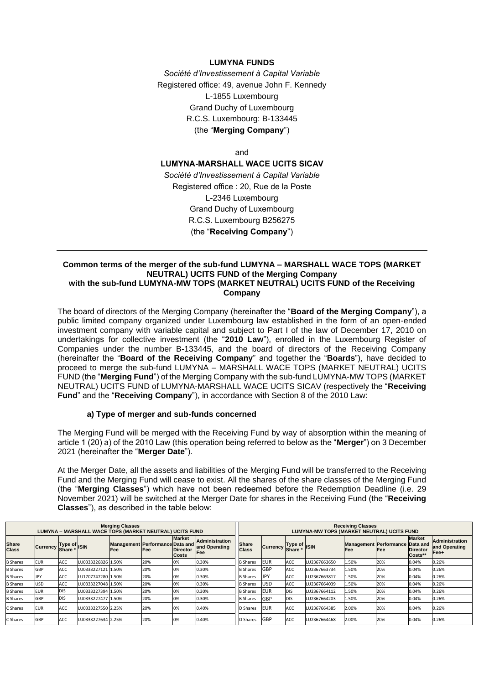### **LUMYNA FUNDS**

*Société d'Investissement à Capital Variable* Registered office: 49, avenue John F. Kennedy L-1855 Luxembourg Grand Duchy of Luxembourg R.C.S. Luxembourg: B-133445 (the "**Merging Company**")

and

**LUMYNA-MARSHALL WACE UCITS SICAV**

*Société d'Investissement à Capital Variable* Registered office : 20, Rue de la Poste L-2346 Luxembourg Grand Duchy of Luxembourg R.C.S. Luxembourg B256275 (the "**Receiving Company**")

#### **Common terms of the merger of the sub-fund LUMYNA – MARSHALL WACE TOPS (MARKET NEUTRAL) UCITS FUND of the Merging Company with the sub-fund LUMYNA-MW TOPS (MARKET NEUTRAL) UCITS FUND of the Receiving Company**

The board of directors of the Merging Company (hereinafter the "**Board of the Merging Company**"), a public limited company organized under Luxembourg law established in the form of an open-ended investment company with variable capital and subject to Part I of the law of December 17, 2010 on undertakings for collective investment (the "**2010 Law**"), enrolled in the Luxembourg Register of Companies under the number B-133445, and the board of directors of the Receiving Company (hereinafter the "**Board of the Receiving Company**" and together the "**Boards**"), have decided to proceed to merge the sub-fund LUMYNA – MARSHALL WACE TOPS (MARKET NEUTRAL) UCITS FUND (the "**Merging Fund**") of the Merging Company with the sub-fund LUMYNA-MW TOPS (MARKET NEUTRAL) UCITS FUND of LUMYNA-MARSHALL WACE UCITS SICAV (respectively the "**Receiving Fund**" and the "**Receiving Company**"), in accordance with Section 8 of the 2010 Law:

### **a) Type of merger and sub-funds concerned**

The Merging Fund will be merged with the Receiving Fund by way of absorption within the meaning of article 1 (20) a) of the 2010 Law (this operation being referred to below as the "**Merger**") on 3 December 2021 (hereinafter the "**Merger Date**").

At the Merger Date, all the assets and liabilities of the Merging Fund will be transferred to the Receiving Fund and the Merging Fund will cease to exist. All the shares of the share classes of the Merging Fund (the "**Merging Classes**") which have not been redeemed before the Redemption Deadline (i.e. 29 November 2021) will be switched at the Merger Date for shares in the Receiving Fund (the "**Receiving Classes**"), as described in the table below:

| <b>Merging Classes</b><br>LUMYNA – MARSHALL WACE TOPS (MARKET NEUTRAL) UCITS FUND |                 |                                    |                    |                                                |     |                                                  | <b>Receiving Classes</b><br>LUMYNA-MW TOPS (MARKET NEUTRAL) UCITS FUND |                              |                 |                    |              |       |                                               |                                             |                                                |
|-----------------------------------------------------------------------------------|-----------------|------------------------------------|--------------------|------------------------------------------------|-----|--------------------------------------------------|------------------------------------------------------------------------|------------------------------|-----------------|--------------------|--------------|-------|-----------------------------------------------|---------------------------------------------|------------------------------------------------|
| <b>Share</b><br><b>Class</b>                                                      | <b>Currency</b> | Type of<br>Shore * ISIN<br>Share * |                    | Management Performance Data and<br><b>IFee</b> | Fee | <b>Market</b><br><b>Director</b><br><b>Costs</b> | <b>Administration</b><br>and Operating<br>Fee                          | <b>Share</b><br><b>Class</b> | <b>Currency</b> | Type of<br>Share * | <b>ISIN</b>  | Fee   | Management Performance Data and<br><b>Fee</b> | <b>Market</b><br><b>Director</b><br>Costs** | <b>Administration</b><br>and Operating<br>Fee+ |
| <b>B</b> Shares                                                                   | <b>EUR</b>      | ACC                                | LU0333226826 1.50% |                                                | 20% | 0%                                               | 0.30%                                                                  | <b>B</b> Shares              | <b>EUR</b>      | ACC                | LU2367663650 | 1.50% | 20%                                           | 0.04%                                       | 0.26%                                          |
| <b>B</b> Shares                                                                   | GBP             | <b>ACC</b>                         | LU0333227121 1.50% |                                                | 20% | 0%                                               | 0.30%                                                                  | <b>B</b> Shares              | GBP             | <b>ACC</b>         | LU2367663734 | 1.50% | 20%                                           | 0.04%                                       | 0.26%                                          |
| <b>B</b> Shares                                                                   | <b>JPY</b>      | ACC                                | LU1707747280 1.50% |                                                | 20% | 0%                                               | 0.30%                                                                  | <b>B</b> Shares              | <b>JPY</b>      | <b>ACC</b>         | LU2367663817 | 1.50% | 20%                                           | 0.04%                                       | 0.26%                                          |
| <b>B</b> Shares                                                                   | USD             | ACC                                | LU0333227048 1.50% |                                                | 20% | 0%                                               | 0.30%                                                                  | <b>B</b> Shares              | <b>USD</b>      | ACC                | LU2367664039 | 1.50% | 20%                                           | 0.04%                                       | 0.26%                                          |
| <b>B</b> Shares                                                                   | <b>EUR</b>      | <b>DIS</b>                         | LU0333227394 1.50% |                                                | 20% | 0%                                               | 0.30%                                                                  | <b>B</b> Shares              | <b>EUR</b>      | <b>DIS</b>         | U2367664112  | 1.50% | 20%                                           | 0.04%                                       | 0.26%                                          |
| <b>B</b> Shares                                                                   | GBP             | <b>DIS</b>                         | LU0333227477 1.50% |                                                | 20% | 0%                                               | 0.30%                                                                  | <b>B</b> Shares              | GBP             | <b>DIS</b>         | LU2367664203 | 1.50% | 20%                                           | 0.04%                                       | 0.26%                                          |
| C Shares                                                                          | <b>EUR</b>      | ACC                                | LU0333227550 2.25% |                                                | 20% | 0%                                               | 0.40%                                                                  | D Shares                     | <b>EUR</b>      | ACC                | LU2367664385 | 2.00% | 20%                                           | 0.04%                                       | 0.26%                                          |
| C Shares                                                                          | GBP             | <b>ACC</b>                         | LU0333227634 2.25% |                                                | 20% | 0%                                               | 0.40%                                                                  | D Shares                     | GBP             | ACC                | LU2367664468 | 2.00% | 20%                                           | 0.04%                                       | 0.26%                                          |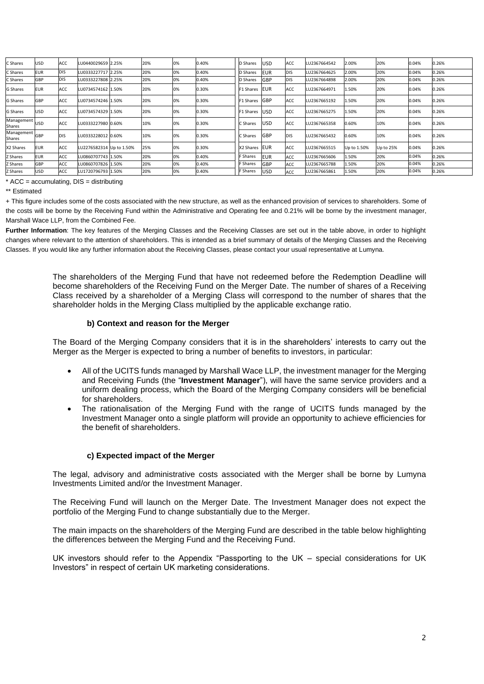| C Shares             | USD        | ACC        | LU0440029659 2.25%       | 20% | 0% | 0.40% | <b>D</b> Shares | USD        | ACC         | LU2367664542 | 2.00%       | 20%       | 0.04% | 0.26% |
|----------------------|------------|------------|--------------------------|-----|----|-------|-----------------|------------|-------------|--------------|-------------|-----------|-------|-------|
| C Shares             | <b>EUR</b> | <b>DIS</b> | LU0333227717 2.25%       | 20% | 0% | 0.40% | D Shares        | <b>EUR</b> | <b>IDIS</b> | LU2367664625 | 2.00%       | 20%       | 0.04% | 0.26% |
| C Shares             | GBP        | <b>DIS</b> | LU0333227808 2.25%       | 20% | 0% | 0.40% | D Shares        | GBP        | <b>IDIS</b> | LU2367664898 | 2.00%       | 20%       | 0.04% | 0.26% |
| <b>G</b> Shares      | <b>EUR</b> | <b>ACC</b> | LU0734574162 1.50%       | 20% | 0% | 0.30% | F1 Shares       | <b>EUR</b> | ACC         | LU2367664971 | 1.50%       | 20%       | 0.04% | 0.26% |
| <b>G</b> Shares      | GBP        | <b>ACC</b> | LU0734574246 1.50%       | 20% | 0% | 0.30% | F1 Shares       | GBP        | ACC         | LU2367665192 | 1.50%       | 20%       | 0.04% | 0.26% |
| <b>G</b> Shares      | USD        | ACC        | LU0734574329 1.50%       | 20% | 0% | 0.30% | F1 Shares       | <b>USD</b> | ACC         | LU2367665275 | 1.50%       | 20%       | 0.04% | 0.26% |
| Management<br>Shares | <b>USD</b> | ACC        | LU0333227980 0.60%       | 10% | 0% | 0.30% | C Shares        | <b>USD</b> | ACC         | LU2367665358 | 0.60%       | 10%       | 0.04% | 0.26% |
| Management<br>Shares | GBP        | <b>DIS</b> | LU0333228012 0.60%       | 10% | 0% | 0.30% | C Shares        | GBP        | <b>DIS</b>  | LU2367665432 | 0.60%       | 10%       | 0.04% | 0.26% |
| X2 Shares            | <b>EUR</b> | ACC        | LU2276582314 Up to 1.50% | 25% | 0% | 0.30% | X2 Shares       | <b>EUR</b> | <b>ACC</b>  | LU2367665515 | Up to 1.50% | Up to 25% | 0.04% | 0.26% |
| <b>Z Shares</b>      | <b>EUR</b> | <b>ACC</b> | LU0860707743 1.50%       | 20% | 0% | 0.40% | Shares          | <b>EUR</b> | ACC         | LU2367665606 | 1.50%       | 20%       | 0.04% | 0.26% |
| <b>Z Shares</b>      | GBP        | <b>ACC</b> | LU0860707826 1.50%       | 20% | 0% | 0.40% | - Shares        | GBP        | <b>ACC</b>  | LU2367665788 | 1.50%       | 20%       | 0.04% | 0.26% |
| <b>Z Shares</b>      | <b>USD</b> | <b>ACC</b> | LU1720796793 1.50%       | 20% | 0% | 0.40% | Shares          | <b>USD</b> | ACC         | LU2367665861 | 1.50%       | 20%       | 0.04% | 0.26% |

 $*$  ACC = accumulating, DIS = distributing

\*\* Estimated

+ This figure includes some of the costs associated with the new structure, as well as the enhanced provision of services to shareholders. Some of the costs will be borne by the Receiving Fund within the Administrative and Operating fee and 0.21% will be borne by the investment manager, Marshall Wace LLP, from the Combined Fee.

**Further Information**: The key features of the Merging Classes and the Receiving Classes are set out in the table above, in order to highlight changes where relevant to the attention of shareholders. This is intended as a brief summary of details of the Merging Classes and the Receiving Classes. If you would like any further information about the Receiving Classes, please contact your usual representative at Lumyna.

> The shareholders of the Merging Fund that have not redeemed before the Redemption Deadline will become shareholders of the Receiving Fund on the Merger Date. The number of shares of a Receiving Class received by a shareholder of a Merging Class will correspond to the number of shares that the shareholder holds in the Merging Class multiplied by the applicable exchange ratio.

## **b) Context and reason for the Merger**

The Board of the Merging Company considers that it is in the shareholders' interests to carry out the Merger as the Merger is expected to bring a number of benefits to investors, in particular:

- All of the UCITS funds managed by Marshall Wace LLP, the investment manager for the Merging and Receiving Funds (the "**Investment Manager**"), will have the same service providers and a uniform dealing process, which the Board of the Merging Company considers will be beneficial for shareholders.
- The rationalisation of the Merging Fund with the range of UCITS funds managed by the Investment Manager onto a single platform will provide an opportunity to achieve efficiencies for the benefit of shareholders.

# **c) Expected impact of the Merger**

The legal, advisory and administrative costs associated with the Merger shall be borne by Lumyna Investments Limited and/or the Investment Manager.

The Receiving Fund will launch on the Merger Date. The Investment Manager does not expect the portfolio of the Merging Fund to change substantially due to the Merger.

The main impacts on the shareholders of the Merging Fund are described in the table below highlighting the differences between the Merging Fund and the Receiving Fund.

UK investors should refer to the Appendix "Passporting to the UK – special considerations for UK Investors" in respect of certain UK marketing considerations.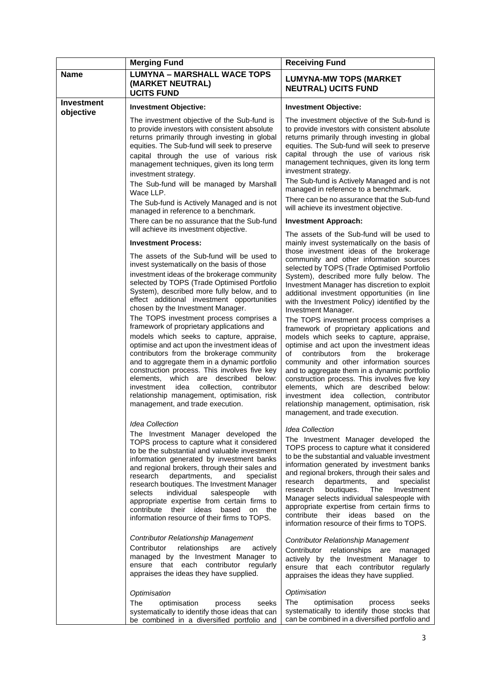|                                | <b>Merging Fund</b>                                                                                                                                                                                                                                                                                                                                                                                                                                                                                                                                                                                                                                                                                                                                                                                                                                                                      | <b>Receiving Fund</b>                                                                                                                                                                                                                                                                                                                                                                                                                                                                                                                                                                                                                                                                                                                                                                                                                                                                                                                                                                                             |
|--------------------------------|------------------------------------------------------------------------------------------------------------------------------------------------------------------------------------------------------------------------------------------------------------------------------------------------------------------------------------------------------------------------------------------------------------------------------------------------------------------------------------------------------------------------------------------------------------------------------------------------------------------------------------------------------------------------------------------------------------------------------------------------------------------------------------------------------------------------------------------------------------------------------------------|-------------------------------------------------------------------------------------------------------------------------------------------------------------------------------------------------------------------------------------------------------------------------------------------------------------------------------------------------------------------------------------------------------------------------------------------------------------------------------------------------------------------------------------------------------------------------------------------------------------------------------------------------------------------------------------------------------------------------------------------------------------------------------------------------------------------------------------------------------------------------------------------------------------------------------------------------------------------------------------------------------------------|
| <b>Name</b>                    | <b>LUMYNA - MARSHALL WACE TOPS</b><br>(MARKET NEUTRAL)<br><b>UCITS FUND</b>                                                                                                                                                                                                                                                                                                                                                                                                                                                                                                                                                                                                                                                                                                                                                                                                              | <b>LUMYNA-MW TOPS (MARKET</b><br><b>NEUTRAL) UCITS FUND</b>                                                                                                                                                                                                                                                                                                                                                                                                                                                                                                                                                                                                                                                                                                                                                                                                                                                                                                                                                       |
| <b>Investment</b><br>objective | <b>Investment Objective:</b>                                                                                                                                                                                                                                                                                                                                                                                                                                                                                                                                                                                                                                                                                                                                                                                                                                                             | <b>Investment Objective:</b>                                                                                                                                                                                                                                                                                                                                                                                                                                                                                                                                                                                                                                                                                                                                                                                                                                                                                                                                                                                      |
|                                | The investment objective of the Sub-fund is<br>to provide investors with consistent absolute<br>returns primarily through investing in global<br>equities. The Sub-fund will seek to preserve<br>capital through the use of various risk<br>management techniques, given its long term<br>investment strategy.<br>The Sub-fund will be managed by Marshall<br>Wace LLP.<br>The Sub-fund is Actively Managed and is not<br>managed in reference to a benchmark.                                                                                                                                                                                                                                                                                                                                                                                                                           | The investment objective of the Sub-fund is<br>to provide investors with consistent absolute<br>returns primarily through investing in global<br>equities. The Sub-fund will seek to preserve<br>capital through the use of various risk<br>management techniques, given its long term<br>investment strategy.<br>The Sub-fund is Actively Managed and is not<br>managed in reference to a benchmark.<br>There can be no assurance that the Sub-fund<br>will achieve its investment objective.                                                                                                                                                                                                                                                                                                                                                                                                                                                                                                                    |
|                                | There can be no assurance that the Sub-fund<br>will achieve its investment objective.                                                                                                                                                                                                                                                                                                                                                                                                                                                                                                                                                                                                                                                                                                                                                                                                    | <b>Investment Approach:</b>                                                                                                                                                                                                                                                                                                                                                                                                                                                                                                                                                                                                                                                                                                                                                                                                                                                                                                                                                                                       |
|                                | <b>Investment Process:</b><br>The assets of the Sub-fund will be used to<br>invest systematically on the basis of those<br>investment ideas of the brokerage community<br>selected by TOPS (Trade Optimised Portfolio<br>System), described more fully below, and to<br>effect additional investment opportunities<br>chosen by the Investment Manager.<br>The TOPS investment process comprises a<br>framework of proprietary applications and<br>models which seeks to capture, appraise,<br>optimise and act upon the investment ideas of<br>contributors from the brokerage community<br>and to aggregate them in a dynamic portfolio<br>construction process. This involves five key<br>elements, which are described below:<br>idea<br>collection,<br>contributor<br>investment<br>relationship management, optimisation, risk<br>management, and trade execution.                 | The assets of the Sub-fund will be used to<br>mainly invest systematically on the basis of<br>those investment ideas of the brokerage<br>community and other information sources<br>selected by TOPS (Trade Optimised Portfolio<br>System), described more fully below. The<br>Investment Manager has discretion to exploit<br>additional investment opportunities (in line<br>with the Investment Policy) identified by the<br>Investment Manager.<br>The TOPS investment process comprises a<br>framework of proprietary applications and<br>models which seeks to capture, appraise,<br>optimise and act upon the investment ideas<br>of<br>contributors<br>from<br>the<br>brokerage<br>community and other information sources<br>and to aggregate them in a dynamic portfolio<br>construction process. This involves five key<br>elements, which are described below:<br>investment<br>idea<br>collection,<br>contributor<br>relationship management, optimisation, risk<br>management, and trade execution. |
|                                | <b>Idea Collection</b><br>The Investment Manager developed the<br>TOPS process to capture what it considered<br>to be the substantial and valuable investment<br>information generated by investment banks<br>and regional brokers, through their sales and<br>research departments,<br>and<br>specialist<br>research boutiques. The Investment Manager<br>individual<br>salespeople<br>with<br>selects<br>appropriate expertise from certain firms to<br>contribute their ideas<br>based on the<br>information resource of their firms to TOPS.<br>Contributor Relationship Management<br>Contributor<br>relationships<br>are<br>actively<br>managed by the Investment Manager to<br>ensure that each contributor<br>regularly<br>appraises the ideas they have supplied.<br>Optimisation<br>The<br>optimisation<br>process<br>seeks<br>systematically to identify those ideas that can | <b>Idea Collection</b><br>The Investment Manager developed the<br>TOPS process to capture what it considered<br>to be the substantial and valuable investment<br>information generated by investment banks<br>and regional brokers, through their sales and<br>research<br>departments,<br>and<br>specialist<br>The<br>Investment<br>research<br>boutiques.<br>Manager selects individual salespeople with<br>appropriate expertise from certain firms to<br>contribute their ideas based on the<br>information resource of their firms to TOPS.<br>Contributor Relationship Management<br>Contributor<br>relationships are managed<br>actively by the Investment Manager to<br>ensure that each contributor regularly<br>appraises the ideas they have supplied.<br>Optimisation<br>The<br>optimisation<br>process<br>seeks<br>systematically to identify those stocks that                                                                                                                                      |
|                                | be combined in a diversified portfolio and                                                                                                                                                                                                                                                                                                                                                                                                                                                                                                                                                                                                                                                                                                                                                                                                                                               | can be combined in a diversified portfolio and                                                                                                                                                                                                                                                                                                                                                                                                                                                                                                                                                                                                                                                                                                                                                                                                                                                                                                                                                                    |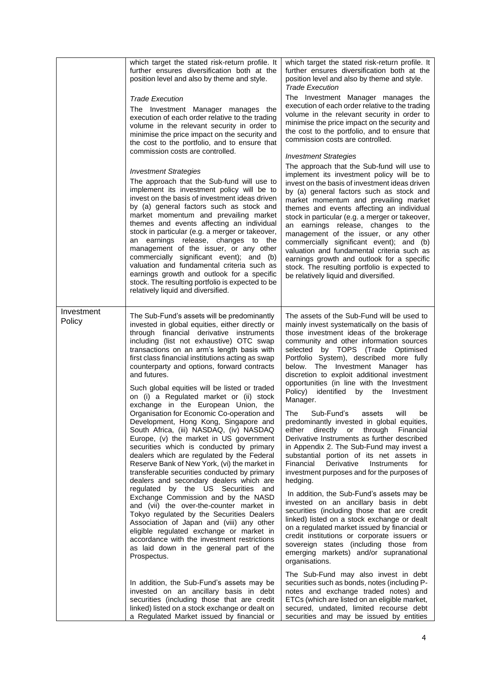|                      | which target the stated risk-return profile. It<br>further ensures diversification both at the<br>position level and also by theme and style.<br><b>Trade Execution</b><br>The Investment Manager manages the<br>execution of each order relative to the trading<br>volume in the relevant security in order to<br>minimise the price impact on the security and<br>the cost to the portfolio, and to ensure that<br>commission costs are controlled.<br><b>Investment Strategies</b><br>The approach that the Sub-fund will use to<br>implement its investment policy will be to<br>invest on the basis of investment ideas driven<br>by (a) general factors such as stock and<br>market momentum and prevailing market<br>themes and events affecting an individual<br>stock in particular (e.g. a merger or takeover,<br>an earnings release, changes to the<br>management of the issuer, or any other<br>commercially significant event); and (b)<br>valuation and fundamental criteria such as<br>earnings growth and outlook for a specific<br>stock. The resulting portfolio is expected to be<br>relatively liquid and diversified.                                                                                                                                           | which target the stated risk-return profile. It<br>further ensures diversification both at the<br>position level and also by theme and style.<br><b>Trade Execution</b><br>The Investment Manager manages the<br>execution of each order relative to the trading<br>volume in the relevant security in order to<br>minimise the price impact on the security and<br>the cost to the portfolio, and to ensure that<br>commission costs are controlled.<br><b>Investment Strategies</b><br>The approach that the Sub-fund will use to<br>implement its investment policy will be to<br>invest on the basis of investment ideas driven<br>by (a) general factors such as stock and<br>market momentum and prevailing market<br>themes and events affecting an individual<br>stock in particular (e.g. a merger or takeover,<br>an earnings release, changes to the<br>management of the issuer, or any other<br>commercially significant event); and (b)<br>valuation and fundamental criteria such as<br>earnings growth and outlook for a specific<br>stock. The resulting portfolio is expected to<br>be relatively liquid and diversified.                                                                                                                                             |
|----------------------|---------------------------------------------------------------------------------------------------------------------------------------------------------------------------------------------------------------------------------------------------------------------------------------------------------------------------------------------------------------------------------------------------------------------------------------------------------------------------------------------------------------------------------------------------------------------------------------------------------------------------------------------------------------------------------------------------------------------------------------------------------------------------------------------------------------------------------------------------------------------------------------------------------------------------------------------------------------------------------------------------------------------------------------------------------------------------------------------------------------------------------------------------------------------------------------------------------------------------------------------------------------------------------------|-----------------------------------------------------------------------------------------------------------------------------------------------------------------------------------------------------------------------------------------------------------------------------------------------------------------------------------------------------------------------------------------------------------------------------------------------------------------------------------------------------------------------------------------------------------------------------------------------------------------------------------------------------------------------------------------------------------------------------------------------------------------------------------------------------------------------------------------------------------------------------------------------------------------------------------------------------------------------------------------------------------------------------------------------------------------------------------------------------------------------------------------------------------------------------------------------------------------------------------------------------------------------------------------|
| Investment<br>Policy | The Sub-Fund's assets will be predominantly<br>invested in global equities, either directly or<br>through financial derivative instruments<br>including (list not exhaustive) OTC swap<br>transactions on an arm's length basis with<br>first class financial institutions acting as swap<br>counterparty and options, forward contracts<br>and futures.<br>Such global equities will be listed or traded<br>on (i) a Regulated market or (ii) stock<br>exchange in the European Union, the<br>Organisation for Economic Co-operation and<br>Development, Hong Kong, Singapore and<br>South Africa, (iii) NASDAQ, (iv) NASDAQ<br>Europe, (v) the market in US government<br>securities which is conducted by primary<br>dealers which are regulated by the Federal<br>Reserve Bank of New York, (vi) the market in<br>transferable securities conducted by primary<br>dealers and secondary dealers which are<br>regulated by the US Securities and<br>Exchange Commission and by the NASD<br>and (vii) the over-the-counter market in<br>Tokyo regulated by the Securities Dealers<br>Association of Japan and (viii) any other<br>eligible regulated exchange or market in<br>accordance with the investment restrictions<br>as laid down in the general part of the<br>Prospectus. | The assets of the Sub-Fund will be used to<br>mainly invest systematically on the basis of<br>those investment ideas of the brokerage<br>community and other information sources<br>selected by TOPS (Trade Optimised<br>Portfolio System), described more fully<br>below. The Investment Manager has<br>discretion to exploit additional investment<br>opportunities (in line with the Investment<br>Policy) identified by the Investment<br>Manager.<br>Sub-Fund's<br>The<br>assets<br>will<br>be<br>predominantly invested in global equities,<br>either<br>directly or<br>through<br>Financial<br>Derivative Instruments as further described<br>in Appendix 2. The Sub-Fund may invest a<br>substantial portion of its net assets in<br>Derivative<br>for<br>Financial<br>Instruments<br>investment purposes and for the purposes of<br>hedging.<br>In addition, the Sub-Fund's assets may be<br>invested on an ancillary basis in debt<br>securities (including those that are credit<br>linked) listed on a stock exchange or dealt<br>on a regulated market issued by financial or<br>credit institutions or corporate issuers or<br>sovereign states (including those from<br>emerging markets) and/or supranational<br>organisations.<br>The Sub-Fund may also invest in debt |
|                      | In addition, the Sub-Fund's assets may be<br>invested on an ancillary basis in debt<br>securities (including those that are credit<br>linked) listed on a stock exchange or dealt on<br>a Regulated Market issued by financial or                                                                                                                                                                                                                                                                                                                                                                                                                                                                                                                                                                                                                                                                                                                                                                                                                                                                                                                                                                                                                                                     | securities such as bonds, notes (including P-<br>notes and exchange traded notes) and<br>ETCs (which are listed on an eligible market,<br>secured, undated, limited recourse debt<br>securities and may be issued by entities                                                                                                                                                                                                                                                                                                                                                                                                                                                                                                                                                                                                                                                                                                                                                                                                                                                                                                                                                                                                                                                           |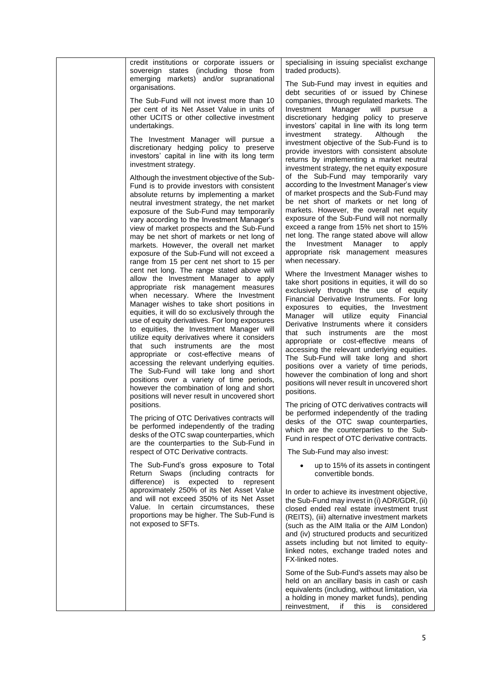| credit institutions or corporate issuers or<br>sovereign states (including those from<br>emerging markets) and/or supranational<br>organisations.<br>The Sub-Fund will not invest more than 10<br>per cent of its Net Asset Value in units of<br>other UCITS or other collective investment<br>undertakings.<br>The Investment Manager will pursue a<br>discretionary hedging policy to preserve<br>investors' capital in line with its long term<br>investment strategy.<br>Although the investment objective of the Sub-<br>Fund is to provide investors with consistent<br>absolute returns by implementing a market<br>neutral investment strategy, the net market<br>exposure of the Sub-Fund may temporarily<br>vary according to the Investment Manager's<br>view of market prospects and the Sub-Fund<br>may be net short of markets or net long of<br>markets. However, the overall net market                                                                                                                                                                                                                     | specialising in issuing specialist exchange<br>traded products).<br>The Sub-Fund may invest in equities and<br>debt securities of or issued by Chinese<br>companies, through regulated markets. The<br>Investment<br>Manager will<br>pursue<br>- a<br>discretionary hedging policy to preserve<br>investors' capital in line with its long term<br>Although<br>investment<br>strategy.<br>the<br>investment objective of the Sub-Fund is to<br>provide investors with consistent absolute<br>returns by implementing a market neutral<br>investment strategy, the net equity exposure<br>of the Sub-Fund may temporarily vary<br>according to the Investment Manager's view<br>of market prospects and the Sub-Fund may<br>be net short of markets or net long of<br>markets. However, the overall net equity<br>exposure of the Sub-Fund will not normally<br>exceed a range from 15% net short to 15%<br>net long. The range stated above will allow<br>Investment<br>Manager<br>the<br>to<br>apply                     |
|-----------------------------------------------------------------------------------------------------------------------------------------------------------------------------------------------------------------------------------------------------------------------------------------------------------------------------------------------------------------------------------------------------------------------------------------------------------------------------------------------------------------------------------------------------------------------------------------------------------------------------------------------------------------------------------------------------------------------------------------------------------------------------------------------------------------------------------------------------------------------------------------------------------------------------------------------------------------------------------------------------------------------------------------------------------------------------------------------------------------------------|---------------------------------------------------------------------------------------------------------------------------------------------------------------------------------------------------------------------------------------------------------------------------------------------------------------------------------------------------------------------------------------------------------------------------------------------------------------------------------------------------------------------------------------------------------------------------------------------------------------------------------------------------------------------------------------------------------------------------------------------------------------------------------------------------------------------------------------------------------------------------------------------------------------------------------------------------------------------------------------------------------------------------|
| exposure of the Sub-Fund will not exceed a<br>range from 15 per cent net short to 15 per<br>cent net long. The range stated above will<br>allow the Investment Manager to apply<br>appropriate risk management measures<br>when necessary. Where the Investment<br>Manager wishes to take short positions in<br>equities, it will do so exclusively through the<br>use of equity derivatives. For long exposures<br>to equities, the Investment Manager will<br>utilize equity derivatives where it considers<br>that such instruments are the most<br>appropriate or cost-effective means of<br>accessing the relevant underlying equities.<br>The Sub-Fund will take long and short<br>positions over a variety of time periods,<br>however the combination of long and short<br>positions will never result in uncovered short<br>positions.<br>The pricing of OTC Derivatives contracts will<br>be performed independently of the trading<br>desks of the OTC swap counterparties, which<br>are the counterparties to the Sub-Fund in<br>respect of OTC Derivative contracts.<br>The Sub-Fund's gross exposure to Total | appropriate risk management measures<br>when necessary.<br>Where the Investment Manager wishes to<br>take short positions in equities, it will do so<br>exclusively through the use of equity<br>Financial Derivative Instruments. For long<br>exposures to equities, the Investment<br>Manager will utilize equity Financial<br>Derivative Instruments where it considers<br>that such instruments are the most<br>appropriate or cost-effective means of<br>accessing the relevant underlying equities.<br>The Sub-Fund will take long and short<br>positions over a variety of time periods,<br>however the combination of long and short<br>positions will never result in uncovered short<br>positions.<br>The pricing of OTC derivatives contracts will<br>be performed independently of the trading<br>desks of the OTC swap counterparties,<br>which are the counterparties to the Sub-<br>Fund in respect of OTC derivative contracts.<br>The Sub-Fund may also invest:<br>up to 15% of its assets in contingent |
| Return Swaps (including contracts for<br>expected<br>difference) is<br>represent<br>to<br>approximately 250% of its Net Asset Value<br>and will not exceed 350% of its Net Asset<br>Value. In certain circumstances, these<br>proportions may be higher. The Sub-Fund is<br>not exposed to SFTs.                                                                                                                                                                                                                                                                                                                                                                                                                                                                                                                                                                                                                                                                                                                                                                                                                            | convertible bonds.<br>In order to achieve its investment objective,<br>the Sub-Fund may invest in (i) ADR/GDR, (ii)<br>closed ended real estate investment trust<br>(REITS), (iii) alternative investment markets<br>(such as the AIM Italia or the AIM London)<br>and (iv) structured products and securitized<br>assets including but not limited to equity-<br>linked notes, exchange traded notes and<br>FX-linked notes.<br>Some of the Sub-Fund's assets may also be<br>held on an ancillary basis in cash or cash<br>equivalents (including, without limitation, via<br>a holding in money market funds), pending<br>reinvestment,<br>this<br>if<br>considered<br>is                                                                                                                                                                                                                                                                                                                                               |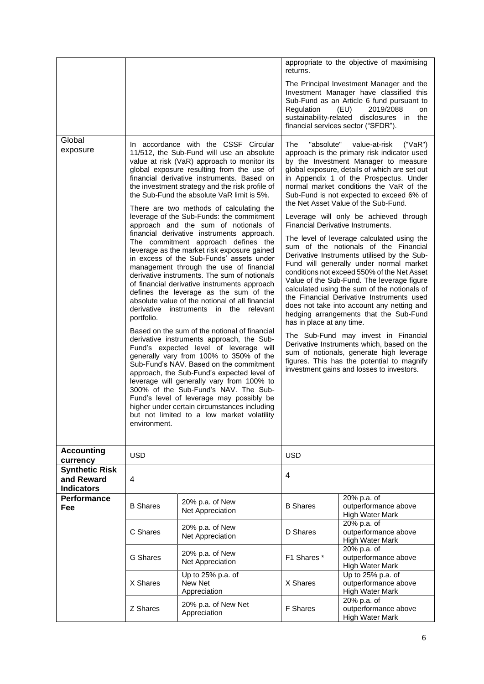|                                                          |                                          |                                                                                                                                                                                                                                                                                                                                                                                                                                                                                                                                                                                                                                                                                                                                                                                                                                                                                                                                                                                                                                                                                                                                                                                                                                                                                                                                                                                                                                    | appropriate to the objective of maximising<br>returns.                                                                                                                                                                                                                                                                                                                                                                                                                                                                                                                                                                                                                                                                                                                                                                                                                                                                                                                                                                                                                                                                                                                     |                                                                                                                                                                                                                                                    |  |  |
|----------------------------------------------------------|------------------------------------------|------------------------------------------------------------------------------------------------------------------------------------------------------------------------------------------------------------------------------------------------------------------------------------------------------------------------------------------------------------------------------------------------------------------------------------------------------------------------------------------------------------------------------------------------------------------------------------------------------------------------------------------------------------------------------------------------------------------------------------------------------------------------------------------------------------------------------------------------------------------------------------------------------------------------------------------------------------------------------------------------------------------------------------------------------------------------------------------------------------------------------------------------------------------------------------------------------------------------------------------------------------------------------------------------------------------------------------------------------------------------------------------------------------------------------------|----------------------------------------------------------------------------------------------------------------------------------------------------------------------------------------------------------------------------------------------------------------------------------------------------------------------------------------------------------------------------------------------------------------------------------------------------------------------------------------------------------------------------------------------------------------------------------------------------------------------------------------------------------------------------------------------------------------------------------------------------------------------------------------------------------------------------------------------------------------------------------------------------------------------------------------------------------------------------------------------------------------------------------------------------------------------------------------------------------------------------------------------------------------------------|----------------------------------------------------------------------------------------------------------------------------------------------------------------------------------------------------------------------------------------------------|--|--|
|                                                          |                                          |                                                                                                                                                                                                                                                                                                                                                                                                                                                                                                                                                                                                                                                                                                                                                                                                                                                                                                                                                                                                                                                                                                                                                                                                                                                                                                                                                                                                                                    | Regulation                                                                                                                                                                                                                                                                                                                                                                                                                                                                                                                                                                                                                                                                                                                                                                                                                                                                                                                                                                                                                                                                                                                                                                 | The Principal Investment Manager and the<br>Investment Manager have classified this<br>Sub-Fund as an Article 6 fund pursuant to<br>(EU)<br>2019/2088<br>on<br>sustainability-related disclosures in<br>the<br>financial services sector ("SFDR"). |  |  |
| Global<br>exposure                                       | derivative<br>portfolio.<br>environment. | In accordance with the CSSF Circular<br>11/512, the Sub-Fund will use an absolute<br>value at risk (VaR) approach to monitor its<br>global exposure resulting from the use of<br>financial derivative instruments. Based on<br>the investment strategy and the risk profile of<br>the Sub-Fund the absolute VaR limit is 5%.<br>There are two methods of calculating the<br>leverage of the Sub-Funds: the commitment<br>approach and the sum of notionals of<br>financial derivative instruments approach.<br>The commitment approach defines the<br>leverage as the market risk exposure gained<br>in excess of the Sub-Funds' assets under<br>management through the use of financial<br>derivative instruments. The sum of notionals<br>of financial derivative instruments approach<br>defines the leverage as the sum of the<br>absolute value of the notional of all financial<br>instruments in the<br>relevant<br>Based on the sum of the notional of financial<br>derivative instruments approach, the Sub-<br>Fund's expected level of leverage will<br>generally vary from 100% to 350% of the<br>Sub-Fund's NAV. Based on the commitment<br>approach, the Sub-Fund's expected level of<br>leverage will generally vary from 100% to<br>300% of the Sub-Fund's NAV. The Sub-<br>Fund's level of leverage may possibly be<br>higher under certain circumstances including<br>but not limited to a low market volatility | The<br>"absolute"<br>value-at-risk<br>("VaR")<br>approach is the primary risk indicator used<br>by the Investment Manager to measure<br>global exposure, details of which are set out<br>in Appendix 1 of the Prospectus. Under<br>normal market conditions the VaR of the<br>Sub-Fund is not expected to exceed 6% of<br>the Net Asset Value of the Sub-Fund.<br>Leverage will only be achieved through<br>Financial Derivative Instruments.<br>The level of leverage calculated using the<br>sum of the notionals of the Financial<br>Derivative Instruments utilised by the Sub-<br>Fund will generally under normal market<br>conditions not exceed 550% of the Net Asset<br>Value of the Sub-Fund. The leverage figure<br>calculated using the sum of the notionals of<br>the Financial Derivative Instruments used<br>does not take into account any netting and<br>hedging arrangements that the Sub-Fund<br>has in place at any time.<br>The Sub-Fund may invest in Financial<br>Derivative Instruments which, based on the<br>sum of notionals, generate high leverage<br>figures. This has the potential to magnify<br>investment gains and losses to investors. |                                                                                                                                                                                                                                                    |  |  |
| <b>Accounting</b><br>currency                            | <b>USD</b>                               |                                                                                                                                                                                                                                                                                                                                                                                                                                                                                                                                                                                                                                                                                                                                                                                                                                                                                                                                                                                                                                                                                                                                                                                                                                                                                                                                                                                                                                    | <b>USD</b>                                                                                                                                                                                                                                                                                                                                                                                                                                                                                                                                                                                                                                                                                                                                                                                                                                                                                                                                                                                                                                                                                                                                                                 |                                                                                                                                                                                                                                                    |  |  |
| <b>Synthetic Risk</b><br>and Reward<br><b>Indicators</b> | 4                                        |                                                                                                                                                                                                                                                                                                                                                                                                                                                                                                                                                                                                                                                                                                                                                                                                                                                                                                                                                                                                                                                                                                                                                                                                                                                                                                                                                                                                                                    | 4                                                                                                                                                                                                                                                                                                                                                                                                                                                                                                                                                                                                                                                                                                                                                                                                                                                                                                                                                                                                                                                                                                                                                                          |                                                                                                                                                                                                                                                    |  |  |
| Performance<br>Fee                                       | <b>B</b> Shares                          | 20% p.a. of New<br>Net Appreciation                                                                                                                                                                                                                                                                                                                                                                                                                                                                                                                                                                                                                                                                                                                                                                                                                                                                                                                                                                                                                                                                                                                                                                                                                                                                                                                                                                                                | <b>B</b> Shares                                                                                                                                                                                                                                                                                                                                                                                                                                                                                                                                                                                                                                                                                                                                                                                                                                                                                                                                                                                                                                                                                                                                                            | 20% p.a. of<br>outperformance above<br><b>High Water Mark</b>                                                                                                                                                                                      |  |  |
|                                                          | C Shares                                 | 20% p.a. of New<br>Net Appreciation                                                                                                                                                                                                                                                                                                                                                                                                                                                                                                                                                                                                                                                                                                                                                                                                                                                                                                                                                                                                                                                                                                                                                                                                                                                                                                                                                                                                | D Shares                                                                                                                                                                                                                                                                                                                                                                                                                                                                                                                                                                                                                                                                                                                                                                                                                                                                                                                                                                                                                                                                                                                                                                   | 20% p.a. of<br>outperformance above<br>High Water Mark                                                                                                                                                                                             |  |  |
|                                                          | G Shares                                 | 20% p.a. of New<br>Net Appreciation                                                                                                                                                                                                                                                                                                                                                                                                                                                                                                                                                                                                                                                                                                                                                                                                                                                                                                                                                                                                                                                                                                                                                                                                                                                                                                                                                                                                | F1 Shares *                                                                                                                                                                                                                                                                                                                                                                                                                                                                                                                                                                                                                                                                                                                                                                                                                                                                                                                                                                                                                                                                                                                                                                | 20% p.a. of<br>outperformance above<br><b>High Water Mark</b>                                                                                                                                                                                      |  |  |
|                                                          | X Shares                                 | Up to 25% p.a. of<br>New Net<br>Appreciation                                                                                                                                                                                                                                                                                                                                                                                                                                                                                                                                                                                                                                                                                                                                                                                                                                                                                                                                                                                                                                                                                                                                                                                                                                                                                                                                                                                       | X Shares                                                                                                                                                                                                                                                                                                                                                                                                                                                                                                                                                                                                                                                                                                                                                                                                                                                                                                                                                                                                                                                                                                                                                                   | Up to 25% p.a. of<br>outperformance above<br>High Water Mark                                                                                                                                                                                       |  |  |
|                                                          | Z Shares                                 | 20% p.a. of New Net<br>Appreciation                                                                                                                                                                                                                                                                                                                                                                                                                                                                                                                                                                                                                                                                                                                                                                                                                                                                                                                                                                                                                                                                                                                                                                                                                                                                                                                                                                                                | <b>F</b> Shares                                                                                                                                                                                                                                                                                                                                                                                                                                                                                                                                                                                                                                                                                                                                                                                                                                                                                                                                                                                                                                                                                                                                                            | 20% p.a. of<br>outperformance above<br>High Water Mark                                                                                                                                                                                             |  |  |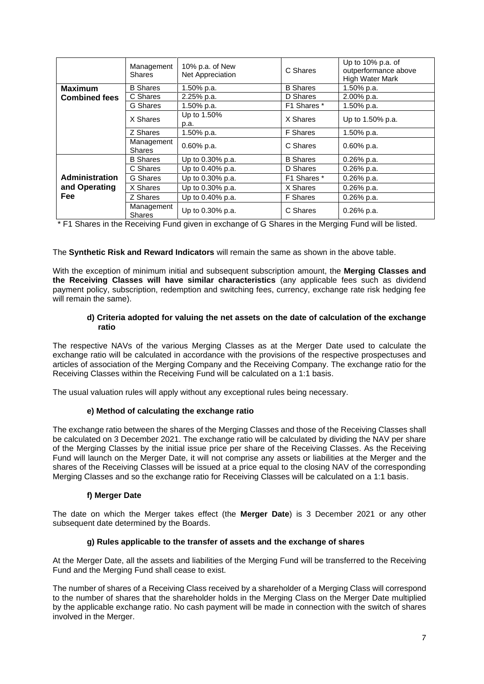|                       | Management<br><b>Shares</b>  | 10% p.a. of New<br>Net Appreciation | C Shares        | Up to 10% p.a. of<br>outperformance above<br><b>High Water Mark</b> |  |  |
|-----------------------|------------------------------|-------------------------------------|-----------------|---------------------------------------------------------------------|--|--|
| <b>Maximum</b>        | <b>B</b> Shares              | 1.50% p.a.                          | <b>B</b> Shares | 1.50% p.a.                                                          |  |  |
| <b>Combined fees</b>  | C Shares                     | 2.25% p.a.                          | D Shares        | 2.00% p.a.                                                          |  |  |
|                       | G Shares                     | 1.50% p.a.                          | F1 Shares *     | 1.50% p.a.                                                          |  |  |
|                       | X Shares                     | Up to 1.50%<br>p.a.                 | X Shares        | Up to 1.50% p.a.                                                    |  |  |
|                       | Z Shares                     | 1.50% p.a.                          | F Shares        | 1.50% p.a.                                                          |  |  |
|                       | Management<br><b>Shares</b>  | $0.60\%$ p.a.                       | C Shares        | $0.60\%$ p.a.                                                       |  |  |
|                       | <b>B</b> Shares              | Up to 0.30% p.a.                    | <b>B</b> Shares | $0.26\%$ p.a.                                                       |  |  |
|                       | C Shares                     | Up to 0.40% p.a.                    | D Shares        | $0.26\%$ p.a.                                                       |  |  |
| <b>Administration</b> | G Shares                     | Up to 0.30% p.a.                    | F1 Shares *     | $0.26%$ p.a.                                                        |  |  |
| and Operating         | X Shares<br>Up to 0.30% p.a. |                                     | X Shares        | $0.26%$ p.a.                                                        |  |  |
| <b>Fee</b>            | Z Shares                     | Up to 0.40% p.a.                    | F Shares        | $0.26%$ p.a.                                                        |  |  |
|                       | Management<br><b>Shares</b>  | Up to 0.30% p.a.                    | C Shares        | $0.26\%$ p.a.                                                       |  |  |

\* F1 Shares in the Receiving Fund given in exchange of G Shares in the Merging Fund will be listed.

## The **Synthetic Risk and Reward Indicators** will remain the same as shown in the above table.

With the exception of minimum initial and subsequent subscription amount, the **Merging Classes and the Receiving Classes will have similar characteristics** (any applicable fees such as dividend payment policy, subscription, redemption and switching fees, currency, exchange rate risk hedging fee will remain the same).

## **d) Criteria adopted for valuing the net assets on the date of calculation of the exchange ratio**

The respective NAVs of the various Merging Classes as at the Merger Date used to calculate the exchange ratio will be calculated in accordance with the provisions of the respective prospectuses and articles of association of the Merging Company and the Receiving Company. The exchange ratio for the Receiving Classes within the Receiving Fund will be calculated on a 1:1 basis.

The usual valuation rules will apply without any exceptional rules being necessary.

# **e) Method of calculating the exchange ratio**

The exchange ratio between the shares of the Merging Classes and those of the Receiving Classes shall be calculated on 3 December 2021. The exchange ratio will be calculated by dividing the NAV per share of the Merging Classes by the initial issue price per share of the Receiving Classes. As the Receiving Fund will launch on the Merger Date, it will not comprise any assets or liabilities at the Merger and the shares of the Receiving Classes will be issued at a price equal to the closing NAV of the corresponding Merging Classes and so the exchange ratio for Receiving Classes will be calculated on a 1:1 basis.

# **f) Merger Date**

The date on which the Merger takes effect (the **Merger Date**) is 3 December 2021 or any other subsequent date determined by the Boards.

# **g) Rules applicable to the transfer of assets and the exchange of shares**

At the Merger Date, all the assets and liabilities of the Merging Fund will be transferred to the Receiving Fund and the Merging Fund shall cease to exist.

The number of shares of a Receiving Class received by a shareholder of a Merging Class will correspond to the number of shares that the shareholder holds in the Merging Class on the Merger Date multiplied by the applicable exchange ratio. No cash payment will be made in connection with the switch of shares involved in the Merger.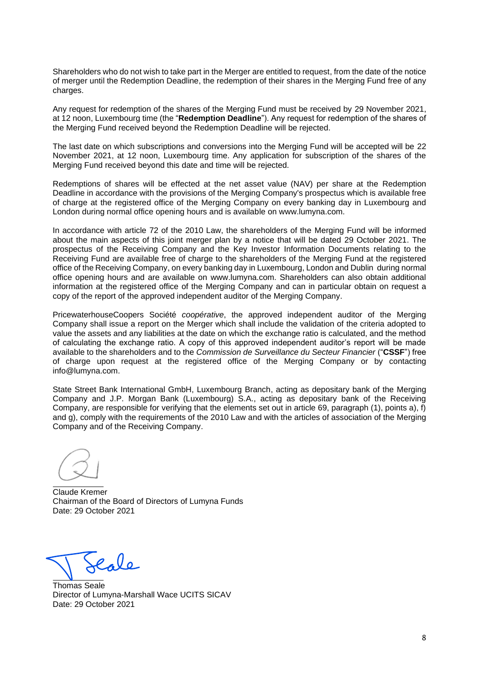Shareholders who do not wish to take part in the Merger are entitled to request, from the date of the notice of merger until the Redemption Deadline, the redemption of their shares in the Merging Fund free of any charges.

Any request for redemption of the shares of the Merging Fund must be received by 29 November 2021, at 12 noon, Luxembourg time (the "**Redemption Deadline**"). Any request for redemption of the shares of the Merging Fund received beyond the Redemption Deadline will be rejected.

The last date on which subscriptions and conversions into the Merging Fund will be accepted will be 22 November 2021, at 12 noon, Luxembourg time. Any application for subscription of the shares of the Merging Fund received beyond this date and time will be rejected.

Redemptions of shares will be effected at the net asset value (NAV) per share at the Redemption Deadline in accordance with the provisions of the Merging Company's prospectus which is available free of charge at the registered office of the Merging Company on every banking day in Luxembourg and London during normal office opening hours and is available on www.lumyna.com.

In accordance with article 72 of the 2010 Law, the shareholders of the Merging Fund will be informed about the main aspects of this joint merger plan by a notice that will be dated 29 October 2021. The prospectus of the Receiving Company and the Key Investor Information Documents relating to the Receiving Fund are available free of charge to the shareholders of the Merging Fund at the registered office of the Receiving Company, on every banking day in Luxembourg, London and Dublin during normal office opening hours and are available on www.lumyna.com. Shareholders can also obtain additional information at the registered office of the Merging Company and can in particular obtain on request a copy of the report of the approved independent auditor of the Merging Company.

PricewaterhouseCoopers Société *coopérative*, the approved independent auditor of the Merging Company shall issue a report on the Merger which shall include the validation of the criteria adopted to value the assets and any liabilities at the date on which the exchange ratio is calculated, and the method of calculating the exchange ratio. A copy of this approved independent auditor's report will be made available to the shareholders and to the *Commission de Surveillance du Secteur Financier* ("**CSSF**") free of charge upon request at the registered office of the Merging Company or by contacting info@lumyna.com.

State Street Bank International GmbH, Luxembourg Branch, acting as depositary bank of the Merging Company and J.P. Morgan Bank (Luxembourg) S.A., acting as depositary bank of the Receiving Company, are responsible for verifying that the elements set out in article 69, paragraph (1), points a), f) and g), comply with the requirements of the 2010 Law and with the articles of association of the Merging Company and of the Receiving Company.

Claude Kremer Chairman of the Board of Directors of Lumyna Funds Date: 29 October 2021

Cole

Thomas Seale Director of Lumyna-Marshall Wace UCITS SICAV Date: 29 October 2021